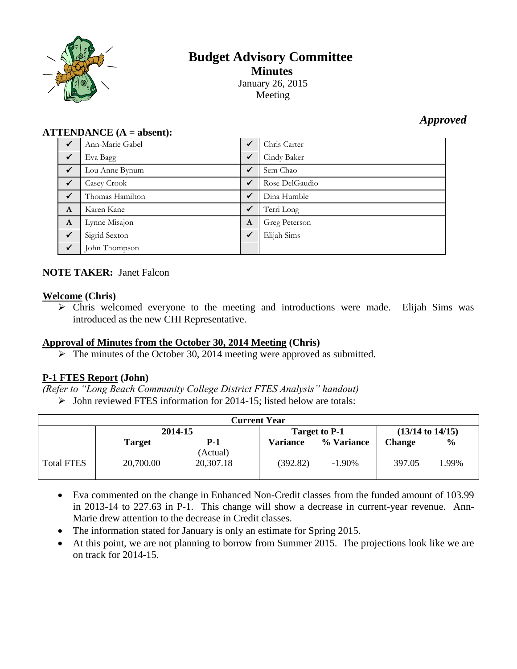

# **Budget Advisory Committee Minutes** January 26, 2015 Meeting

# *Approved*

## **ATTENDANCE (A = absent):**

| $\checkmark$ | Ann-Marie Gabel | $\checkmark$ | Chris Carter   |
|--------------|-----------------|--------------|----------------|
| $\checkmark$ | Eva Bagg        | $\sqrt{}$    | Cindy Baker    |
| $\sqrt{}$    | Lou Anne Bynum  | $\checkmark$ | Sem Chao       |
| $\checkmark$ | Casey Crook     | $\checkmark$ | Rose DelGaudio |
| $\checkmark$ | Thomas Hamilton | $\sqrt{}$    | Dina Humble    |
| $\mathbf{A}$ | Karen Kane      | $\checkmark$ | Terri Long     |
| $\mathbf{A}$ | Lynne Misajon   | $\mathbf{A}$ | Greg Peterson  |
| $\sqrt{}$    | Sigrid Sexton   | $\checkmark$ | Elijah Sims    |
| $\checkmark$ | John Thompson   |              |                |

# **NOTE TAKER:** Janet Falcon

### **Welcome (Chris)**

 Chris welcomed everyone to the meeting and introductions were made. Elijah Sims was introduced as the new CHI Representative.

### **Approval of Minutes from the October 30, 2014 Meeting (Chris)**

 $\triangleright$  The minutes of the October 30, 2014 meeting were approved as submitted.

# **P-1 FTES Report (John)**

- *(Refer to "Long Beach Community College District FTES Analysis" handout)*
	- $\triangleright$  John reviewed FTES information for 2014-15; listed below are totals:

| <b>Current Year</b> |               |                       |                 |            |                      |               |
|---------------------|---------------|-----------------------|-----------------|------------|----------------------|---------------|
|                     | 2014-15       |                       | Target to P-1   |            | $(13/14$ to $14/15)$ |               |
|                     | <b>Target</b> | P-1                   | <b>Variance</b> | % Variance | <b>Change</b>        | $\frac{6}{9}$ |
| <b>Total FTES</b>   | 20,700.00     | (Actual)<br>20,307.18 | (392.82)        | $-1.90\%$  | 397.05               | 1.99%         |

- Eva commented on the change in Enhanced Non-Credit classes from the funded amount of 103.99 in 2013-14 to 227.63 in P-1. This change will show a decrease in current-year revenue. Ann-Marie drew attention to the decrease in Credit classes.
- The information stated for January is only an estimate for Spring 2015.
- At this point, we are not planning to borrow from Summer 2015. The projections look like we are on track for 2014-15.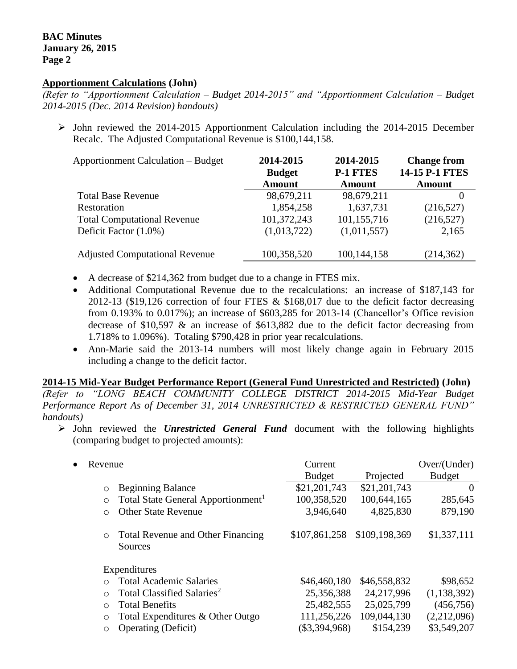### **Apportionment Calculations (John)**

*(Refer to "Apportionment Calculation – Budget 2014-2015" and "Apportionment Calculation – Budget 2014-2015 (Dec. 2014 Revision) handouts)*

 $\triangleright$  John reviewed the 2014-2015 Apportionment Calculation including the 2014-2015 December Recalc. The Adjusted Computational Revenue is \$100,144,158.

| <b>Apportionment Calculation – Budget</b> | 2014-2015<br><b>Budget</b> | 2014-2015<br><b>P-1 FTES</b> | <b>Change from</b><br>14-15 P-1 FTES |  |
|-------------------------------------------|----------------------------|------------------------------|--------------------------------------|--|
|                                           | <b>Amount</b>              | <b>Amount</b>                | <b>Amount</b>                        |  |
| <b>Total Base Revenue</b>                 | 98,679,211                 | 98,679,211                   |                                      |  |
| Restoration                               | 1,854,258                  | 1,637,731                    | (216,527)                            |  |
| <b>Total Computational Revenue</b>        | 101,372,243                | 101,155,716                  | (216,527)                            |  |
| Deficit Factor (1.0%)                     | (1,013,722)                | (1,011,557)                  | 2,165                                |  |
| <b>Adjusted Computational Revenue</b>     | 100,358,520                | 100,144,158                  | (214, 362)                           |  |

- A decrease of \$214,362 from budget due to a change in FTES mix.
- Additional Computational Revenue due to the recalculations: an increase of \$187,143 for 2012-13 (\$19,126 correction of four FTES & \$168,017 due to the deficit factor decreasing from 0.193% to 0.017%); an increase of \$603,285 for 2013-14 (Chancellor's Office revision decrease of \$10,597 & an increase of \$613,882 due to the deficit factor decreasing from 1.718% to 1.096%). Totaling \$790,428 in prior year recalculations.
- Ann-Marie said the 2013-14 numbers will most likely change again in February 2015 including a change to the deficit factor.

#### **2014-15 Mid-Year Budget Performance Report (General Fund Unrestricted and Restricted) (John)**

*(Refer to "LONG BEACH COMMUNITY COLLEGE DISTRICT 2014-2015 Mid-Year Budget Performance Report As of December 31, 2014 UNRESTRICTED & RESTRICTED GENERAL FUND" handouts)*

 John reviewed the *Unrestricted General Fund* document with the following highlights (comparing budget to projected amounts):

| Revenue<br>$\bullet$                                      | Current<br><b>Budget</b> | Projected     | Over/ (Under)<br><b>Budget</b> |
|-----------------------------------------------------------|--------------------------|---------------|--------------------------------|
| <b>Beginning Balance</b><br>$\circ$                       | \$21,201,743             | \$21,201,743  | $\Omega$                       |
| Total State General Apportionment <sup>1</sup><br>$\circ$ | 100,358,520              | 100,644,165   | 285,645                        |
| <b>Other State Revenue</b><br>$\circ$                     | 3,946,640                | 4,825,830     | 879,190                        |
| Total Revenue and Other Financing<br>$\circ$<br>Sources   | \$107,861,258            | \$109,198,369 | \$1,337,111                    |
| Expenditures                                              |                          |               |                                |
| <b>Total Academic Salaries</b><br>$\Omega$                | \$46,460,180             | \$46,558,832  | \$98,652                       |
| Total Classified Salaries <sup>2</sup><br>$\Omega$        | 25,356,388               | 24,217,996    | (1, 138, 392)                  |
| <b>Total Benefits</b><br>$\circ$                          | 25,482,555               | 25,025,799    | (456, 756)                     |
| Total Expenditures & Other Outgo<br>$\circ$               | 111,256,226              | 109,044,130   | (2,212,096)                    |
| <b>Operating (Deficit)</b><br>$\circ$                     | $(\$3,394,968)$          | \$154,239     | \$3,549,207                    |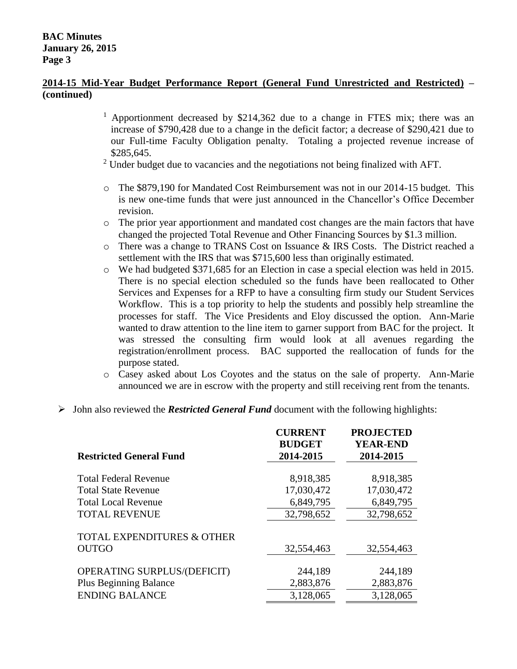## **2014-15 Mid-Year Budget Performance Report (General Fund Unrestricted and Restricted) – (continued)**

- <sup>1</sup> Apportionment decreased by \$214,362 due to a change in FTES mix; there was an increase of \$790,428 due to a change in the deficit factor; a decrease of \$290,421 due to our Full-time Faculty Obligation penalty. Totaling a projected revenue increase of \$285,645.
- $2$  Under budget due to vacancies and the negotiations not being finalized with AFT.
- o The \$879,190 for Mandated Cost Reimbursement was not in our 2014-15 budget. This is new one-time funds that were just announced in the Chancellor's Office December revision.
- o The prior year apportionment and mandated cost changes are the main factors that have changed the projected Total Revenue and Other Financing Sources by \$1.3 million.
- o There was a change to TRANS Cost on Issuance & IRS Costs. The District reached a settlement with the IRS that was \$715,600 less than originally estimated.
- o We had budgeted \$371,685 for an Election in case a special election was held in 2015. There is no special election scheduled so the funds have been reallocated to Other Services and Expenses for a RFP to have a consulting firm study our Student Services Workflow. This is a top priority to help the students and possibly help streamline the processes for staff. The Vice Presidents and Eloy discussed the option. Ann-Marie wanted to draw attention to the line item to garner support from BAC for the project. It was stressed the consulting firm would look at all avenues regarding the registration/enrollment process. BAC supported the reallocation of funds for the purpose stated.
- o Casey asked about Los Coyotes and the status on the sale of property. Ann-Marie announced we are in escrow with the property and still receiving rent from the tenants.
- John also reviewed the *Restricted General Fund* document with the following highlights:

| <b>Restricted General Fund</b>        | <b>CURRENT</b><br><b>BUDGET</b><br>2014-2015 | <b>PROJECTED</b><br><b>YEAR-END</b><br>2014-2015 |
|---------------------------------------|----------------------------------------------|--------------------------------------------------|
| <b>Total Federal Revenue</b>          | 8,918,385                                    | 8,918,385                                        |
| <b>Total State Revenue</b>            | 17,030,472                                   | 17,030,472                                       |
| <b>Total Local Revenue</b>            | 6,849,795                                    | 6,849,795                                        |
| <b>TOTAL REVENUE</b>                  | 32,798,652                                   | 32,798,652                                       |
| <b>TOTAL EXPENDITURES &amp; OTHER</b> |                                              |                                                  |
| <b>OUTGO</b>                          | 32,554,463                                   | 32,554,463                                       |
|                                       |                                              |                                                  |
| <b>OPERATING SURPLUS/(DEFICIT)</b>    | 244,189                                      | 244,189                                          |
| <b>Plus Beginning Balance</b>         | 2,883,876                                    | 2,883,876                                        |
| <b>ENDING BALANCE</b>                 | 3,128,065                                    | 3,128,065                                        |